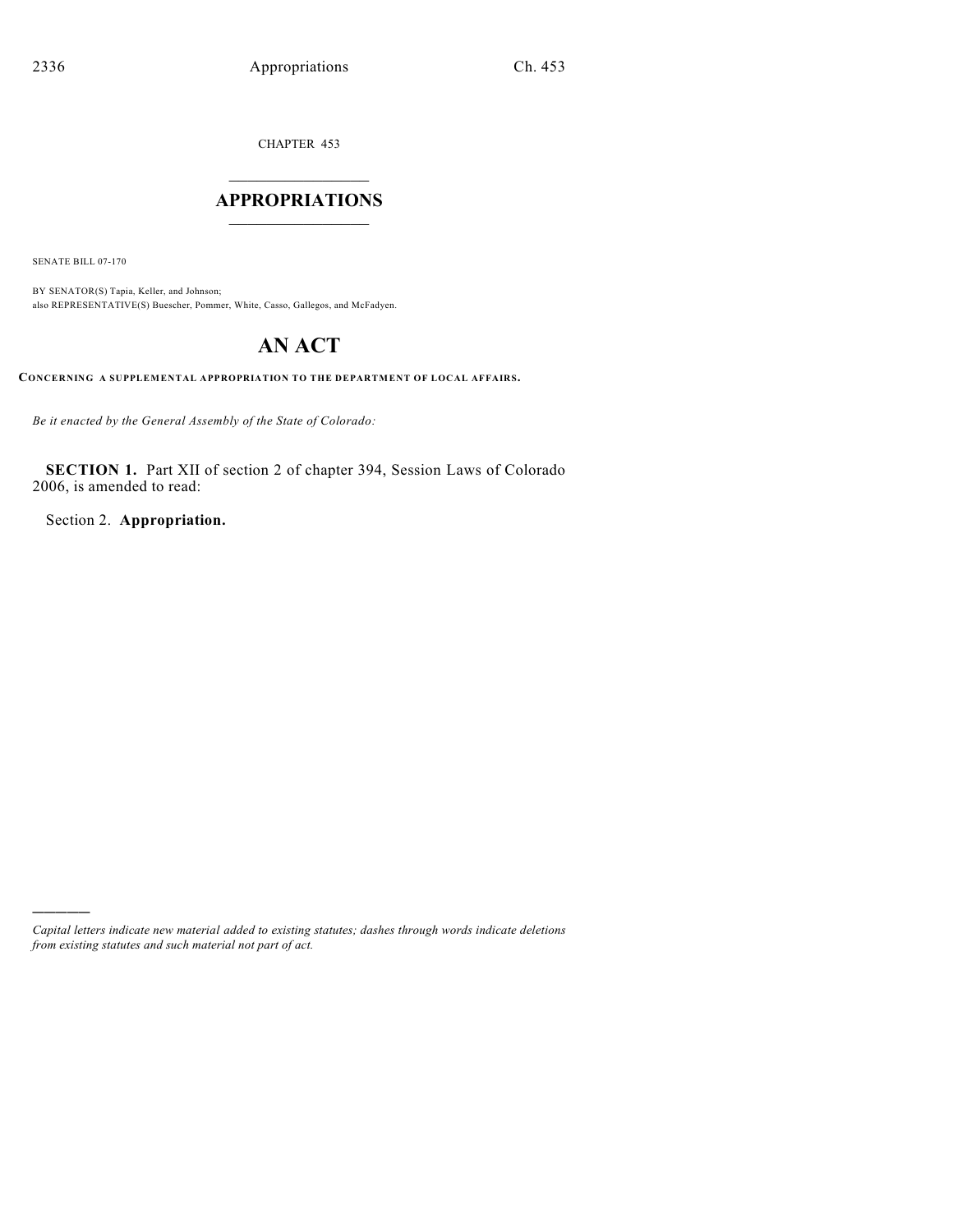CHAPTER 453

## $\mathcal{L}_\text{max}$  . The set of the set of the set of the set of the set of the set of the set of the set of the set of the set of the set of the set of the set of the set of the set of the set of the set of the set of the set **APPROPRIATIONS**  $\_$   $\_$   $\_$   $\_$   $\_$   $\_$   $\_$   $\_$

SENATE BILL 07-170

)))))

BY SENATOR(S) Tapia, Keller, and Johnson; also REPRESENTATIVE(S) Buescher, Pommer, White, Casso, Gallegos, and McFadyen.

# **AN ACT**

**CONCERNING A SUPPLEMENTAL APPROPRIATION TO THE DEPARTMENT OF LOCAL AFFAIRS.**

*Be it enacted by the General Assembly of the State of Colorado:*

**SECTION 1.** Part XII of section 2 of chapter 394, Session Laws of Colorado 2006, is amended to read:

Section 2. **Appropriation.**

*Capital letters indicate new material added to existing statutes; dashes through words indicate deletions from existing statutes and such material not part of act.*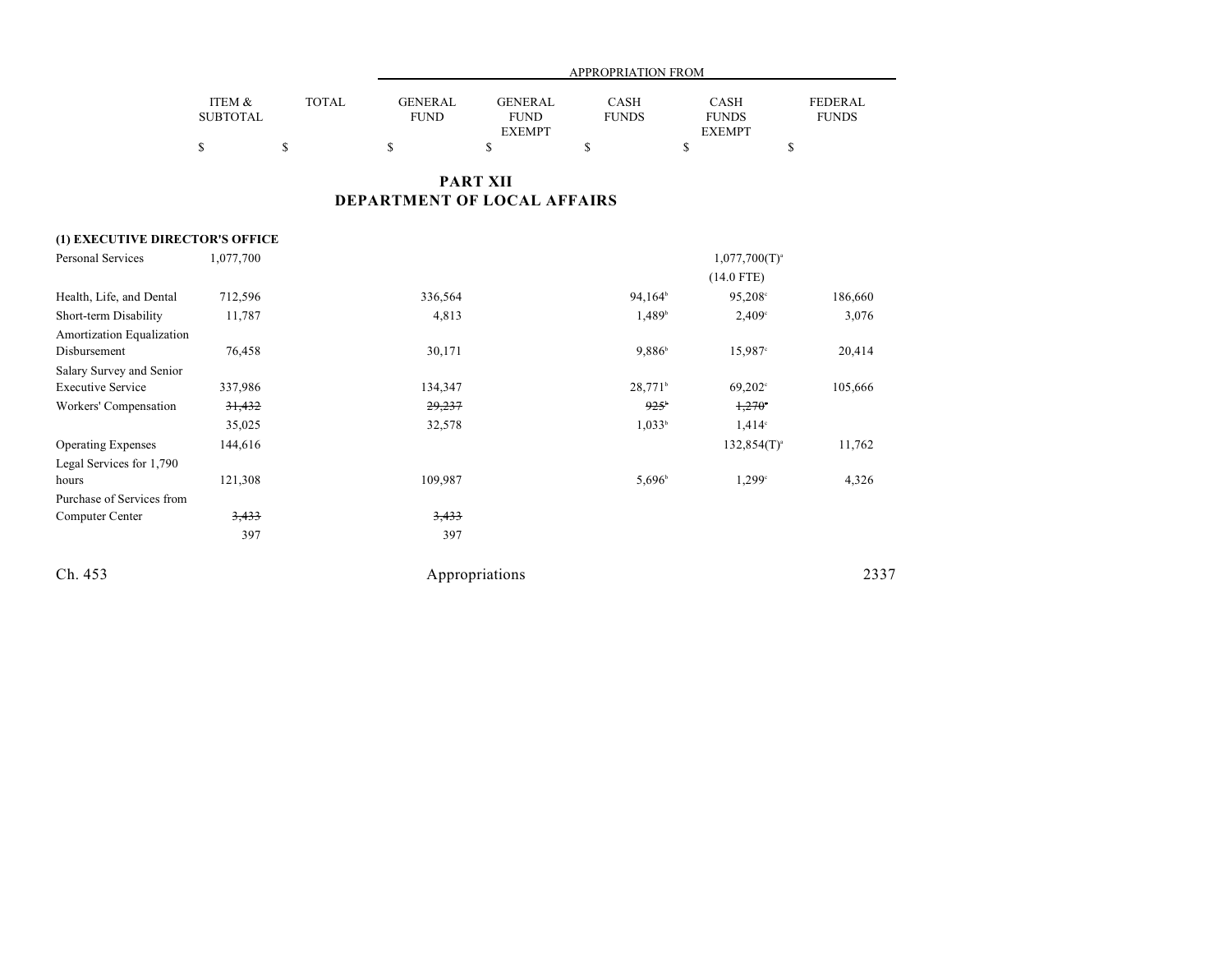|                                 |                           |              |                               |                                                | APPROPRIATION FROM   |                                              |                                |
|---------------------------------|---------------------------|--------------|-------------------------------|------------------------------------------------|----------------------|----------------------------------------------|--------------------------------|
|                                 | ITEM &<br><b>SUBTOTAL</b> | <b>TOTAL</b> | <b>GENERAL</b><br><b>FUND</b> | <b>GENERAL</b><br><b>FUND</b><br><b>EXEMPT</b> | CASH<br><b>FUNDS</b> | <b>CASH</b><br><b>FUNDS</b><br><b>EXEMPT</b> | <b>FEDERAL</b><br><b>FUNDS</b> |
|                                 | \$                        | \$           | \$                            | \$                                             | \$                   | \$<br>\$                                     |                                |
|                                 |                           |              | DEPARTMENT OF LOCAL AFFAIRS   | <b>PART XII</b>                                |                      |                                              |                                |
| (1) EXECUTIVE DIRECTOR'S OFFICE |                           |              |                               |                                                |                      |                                              |                                |
| Personal Services               | 1,077,700                 |              |                               |                                                |                      | $1,077,700(T)^{a}$                           |                                |
|                                 |                           |              |                               |                                                |                      | $(14.0$ FTE)                                 |                                |
| Health, Life, and Dental        | 712,596                   |              | 336,564                       |                                                | $94,164^b$           | 95,208°                                      | 186,660                        |
| Short-term Disability           | 11,787                    |              | 4,813                         |                                                | $1,489^{\circ}$      | 2,409°                                       | 3,076                          |
| Amortization Equalization       |                           |              |                               |                                                |                      |                                              |                                |
| Disbursement                    | 76,458                    |              | 30,171                        |                                                | $9,886^{\circ}$      | 15,987°                                      | 20,414                         |
| Salary Survey and Senior        |                           |              |                               |                                                |                      |                                              |                                |
| <b>Executive Service</b>        | 337,986                   |              | 134,347                       |                                                | 28,771 <sup>b</sup>  | $69,202^{\circ}$                             | 105,666                        |
| Workers' Compensation           | 31,432                    |              | 29,237                        |                                                | $925^{\circ}$        | $1,270^\circ$                                |                                |
|                                 | 35,025                    |              | 32,578                        |                                                | 1,033 <sup>b</sup>   | $1,414^{\circ}$                              |                                |
| <b>Operating Expenses</b>       | 144,616                   |              |                               |                                                |                      | $132,854(T)^{a}$                             | 11,762                         |
| Legal Services for 1,790        |                           |              |                               |                                                |                      |                                              |                                |
| hours                           | 121,308                   |              | 109,987                       |                                                | 5,696                | 1,299°                                       | 4,326                          |
| Purchase of Services from       |                           |              |                               |                                                |                      |                                              |                                |
| Computer Center                 | 3,433                     |              | 3,433                         |                                                |                      |                                              |                                |
|                                 | 397                       |              | 397                           |                                                |                      |                                              |                                |
| Ch. 453                         |                           |              |                               | Appropriations                                 |                      |                                              | 2337                           |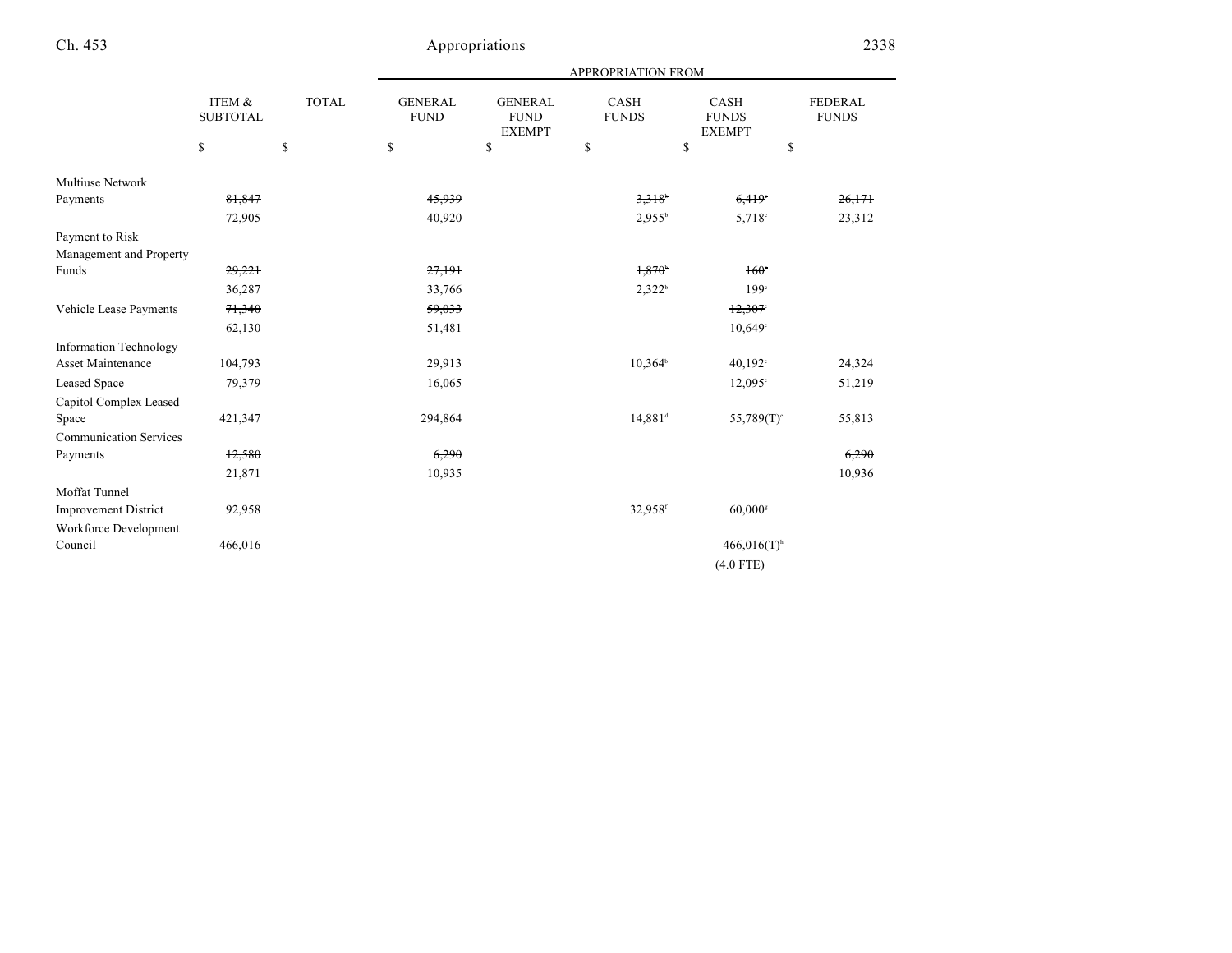|                               |                           |              | <b>APPROPRIATION FROM</b>     |                                                |                             |                                              |                                |  |
|-------------------------------|---------------------------|--------------|-------------------------------|------------------------------------------------|-----------------------------|----------------------------------------------|--------------------------------|--|
|                               | ITEM &<br><b>SUBTOTAL</b> | <b>TOTAL</b> | <b>GENERAL</b><br><b>FUND</b> | <b>GENERAL</b><br><b>FUND</b><br><b>EXEMPT</b> | <b>CASH</b><br><b>FUNDS</b> | <b>CASH</b><br><b>FUNDS</b><br><b>EXEMPT</b> | <b>FEDERAL</b><br><b>FUNDS</b> |  |
|                               | \$                        | $\mathbb{S}$ | \$                            | \$                                             | \$                          | \$                                           | \$                             |  |
| <b>Multiuse Network</b>       |                           |              |                               |                                                |                             |                                              |                                |  |
| Payments                      | 81,847                    |              | 45,939                        |                                                | 3.318                       | 6,419                                        | 26,171                         |  |
|                               | 72,905                    |              | 40,920                        |                                                | 2,955 <sup>b</sup>          | 5,718 <sup>c</sup>                           | 23,312                         |  |
| Payment to Risk               |                           |              |                               |                                                |                             |                                              |                                |  |
| Management and Property       |                           |              |                               |                                                |                             |                                              |                                |  |
| Funds                         | 29,221                    |              | 27,191                        |                                                | $1,870^{\circ}$             | $160^\circ$                                  |                                |  |
|                               | 36,287                    |              | 33,766                        |                                                | 2,322 <sup>b</sup>          | 199 <sup>c</sup>                             |                                |  |
| Vehicle Lease Payments        | 71,340                    |              | 59,033                        |                                                |                             | 12,307                                       |                                |  |
|                               | 62,130                    |              | 51,481                        |                                                |                             | 10,649°                                      |                                |  |
| <b>Information Technology</b> |                           |              |                               |                                                |                             |                                              |                                |  |
| Asset Maintenance             | 104,793                   |              | 29,913                        |                                                | $10,364^b$                  | 40,192°                                      | 24,324                         |  |
| <b>Leased Space</b>           | 79,379                    |              | 16,065                        |                                                |                             | $12,095^{\circ}$                             | 51,219                         |  |
| Capitol Complex Leased        |                           |              |                               |                                                |                             |                                              |                                |  |
| Space                         | 421,347                   |              | 294,864                       |                                                | $14,881$ <sup>d</sup>       | $55,789(T)$ <sup>c</sup>                     | 55,813                         |  |
| <b>Communication Services</b> |                           |              |                               |                                                |                             |                                              |                                |  |
| Payments                      | 12,580                    |              | 6,290                         |                                                |                             |                                              | 6,290                          |  |
|                               | 21,871                    |              | 10,935                        |                                                |                             |                                              | 10,936                         |  |
| Moffat Tunnel                 |                           |              |                               |                                                |                             |                                              |                                |  |
| <b>Improvement District</b>   | 92,958                    |              |                               |                                                | 32,958f                     | $60,000$ <sup>s</sup>                        |                                |  |
| Workforce Development         |                           |              |                               |                                                |                             |                                              |                                |  |
| Council                       | 466,016                   |              |                               |                                                |                             | $466,016(T)$ <sup>h</sup>                    |                                |  |
|                               |                           |              |                               |                                                |                             | $(4.0$ FTE)                                  |                                |  |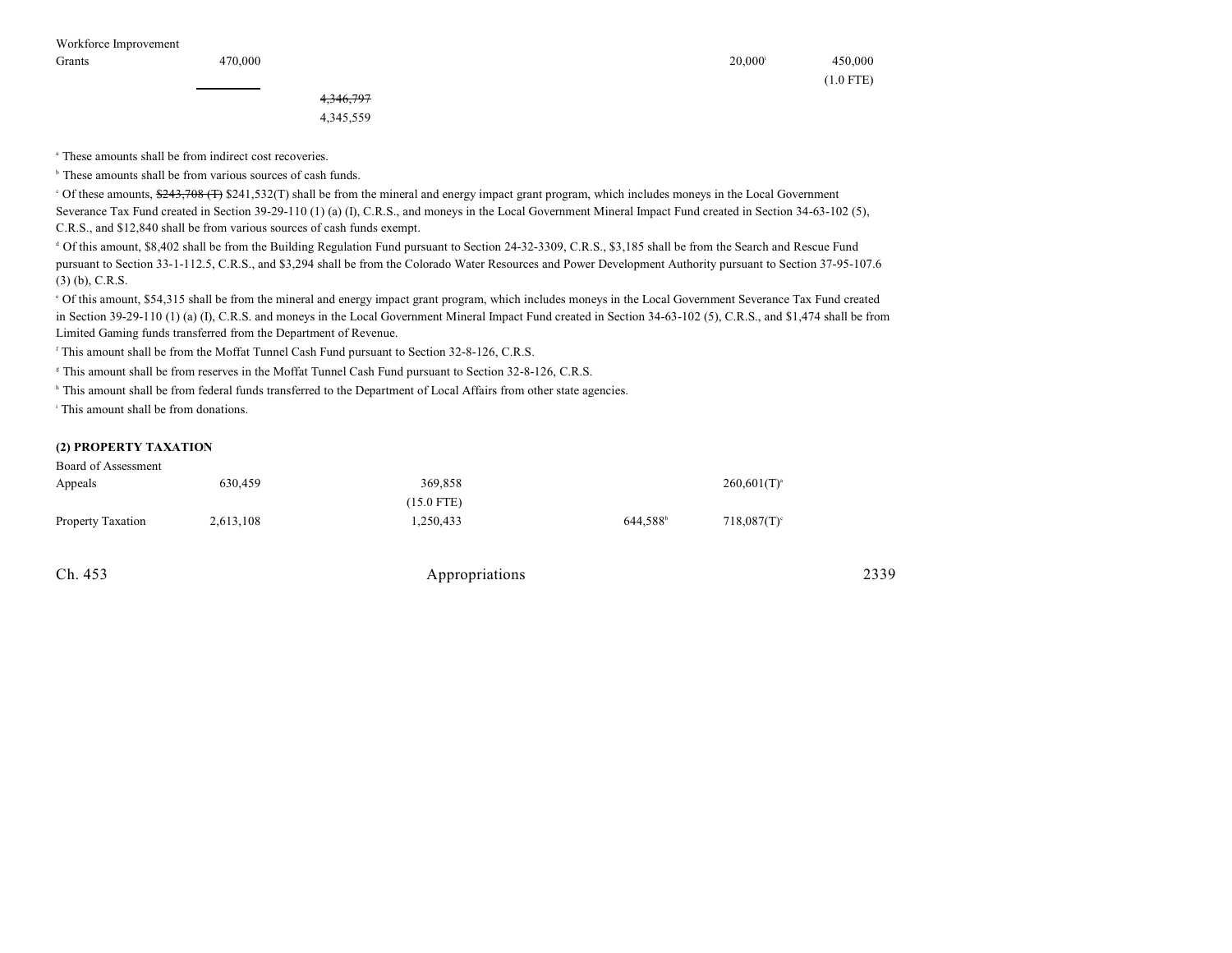| $20,000^{\rm i}$ | 450,000     |
|------------------|-------------|
|                  | $(1.0$ FTE) |

4,346,797 4,345,559

<sup>a</sup> These amounts shall be from indirect cost recoveries.

 $<sup>b</sup>$  These amounts shall be from various sources of cash funds.</sup>

<sup>o</sup> Of these amounts, \$243,708 (T) \$241,532(T) shall be from the mineral and energy impact grant program, which includes moneys in the Local Government Severance Tax Fund created in Section 39-29-110 (1) (a) (I), C.R.S., and moneys in the Local Government Mineral Impact Fund created in Section 34-63-102 (5), C.R.S., and \$12,840 shall be from various sources of cash funds exempt.

<sup>d</sup> Of this amount, \$8,402 shall be from the Building Regulation Fund pursuant to Section 24-32-3309, C.R.S., \$3,185 shall be from the Search and Rescue Fund pursuant to Section 33-1-112.5, C.R.S., and \$3,294 shall be from the Colorado Water Resources and Power Development Authority pursuant to Section 37-95-107.6 (3) (b), C.R.S.

 Of this amount, \$54,315 shall be from the mineral and energy impact grant program, which includes moneys in the Local Government Severance Tax Fund created <sup>e</sup> in Section 39-29-110 (1) (a) (I), C.R.S. and moneys in the Local Government Mineral Impact Fund created in Section 34-63-102 (5), C.R.S., and \$1,474 shall be from Limited Gaming funds transferred from the Department of Revenue.

 $\beta$ <sup>r</sup> This amount shall be from the Moffat Tunnel Cash Fund pursuant to Section 32-8-126, C.R.S.

<sup>8</sup> This amount shall be from reserves in the Moffat Tunnel Cash Fund pursuant to Section 32-8-126, C.R.S.

<sup>h</sup> This amount shall be from federal funds transferred to the Department of Local Affairs from other state agencies.

<sup>i</sup> This amount shall be from donations.

#### **(2) PROPERTY TAXATION**

| Board of Assessment |           |            |                      |                  |
|---------------------|-----------|------------|----------------------|------------------|
| Appeals             | 630,459   | 369.858    |                      | $260,601(T)^{a}$ |
|                     |           | (15.0 FTE) |                      |                  |
| Property Taxation   | 2,613,108 | 1.250.433  | 644.588 <sup>b</sup> | $718,087(T)$ °   |

| Ch. 453 | Appropriations | 2339 |
|---------|----------------|------|
|---------|----------------|------|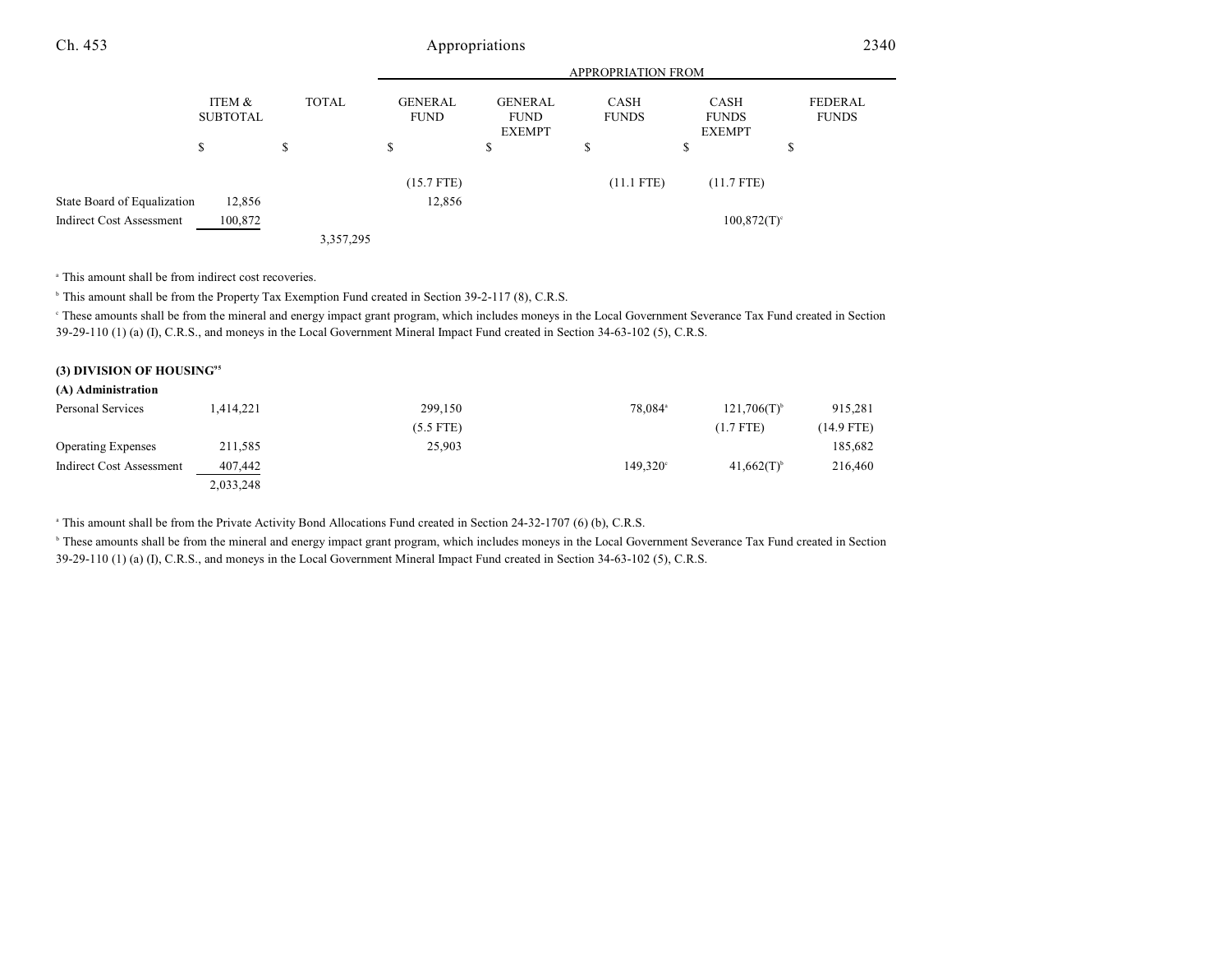|                                 |                           |              | <b>APPROPRIATION FROM</b>     |                                                |                      |                                       |                         |
|---------------------------------|---------------------------|--------------|-------------------------------|------------------------------------------------|----------------------|---------------------------------------|-------------------------|
|                                 | ITEM &<br><b>SUBTOTAL</b> | <b>TOTAL</b> | <b>GENERAL</b><br><b>FUND</b> | <b>GENERAL</b><br><b>FUND</b><br><b>EXEMPT</b> | CASH<br><b>FUNDS</b> | CASH<br><b>FUNDS</b><br><b>EXEMPT</b> | FEDERAL<br><b>FUNDS</b> |
|                                 | \$                        | \$           | S                             | \$                                             | S                    | \$                                    | \$                      |
|                                 |                           |              | $(15.7$ FTE)                  |                                                | $(11.1$ FTE)         | $(11.7$ FTE)                          |                         |
| State Board of Equalization     | 12,856                    |              | 12,856                        |                                                |                      |                                       |                         |
| <b>Indirect Cost Assessment</b> | 100,872                   |              |                               |                                                |                      | $100,872(T)$ <sup>c</sup>             |                         |
|                                 |                           | 3,357,295    |                               |                                                |                      |                                       |                         |

<sup>a</sup> This amount shall be from indirect cost recoveries.

<sup>b</sup> This amount shall be from the Property Tax Exemption Fund created in Section 39-2-117 (8), C.R.S.

 These amounts shall be from the mineral and energy impact grant program, which includes moneys in the Local Government Severance Tax Fund created in Section <sup>c</sup> 39-29-110 (1) (a) (I), C.R.S., and moneys in the Local Government Mineral Impact Fund created in Section 34-63-102 (5), C.R.S.

#### **(3) DIVISION OF HOUSING<sup>95</sup>**

| (A) Administration        |           |             |                     |                           |            |
|---------------------------|-----------|-------------|---------------------|---------------------------|------------|
| Personal Services         | 1.414.221 | 299,150     | 78.084 <sup>a</sup> | $121,706(T)$ <sup>b</sup> | 915,281    |
|                           |           | $(5.5$ FTE) |                     | $(1.7$ FTE)               | (14.9 FTE) |
| <b>Operating Expenses</b> | 211,585   | 25,903      |                     |                           | 185,682    |
| Indirect Cost Assessment  | 407,442   |             | $149.320^{\circ}$   | $41,662(T)^{6}$           | 216,460    |
|                           | 2,033,248 |             |                     |                           |            |

<sup>a</sup> This amount shall be from the Private Activity Bond Allocations Fund created in Section 24-32-1707 (6) (b), C.R.S.

<sup>b</sup> These amounts shall be from the mineral and energy impact grant program, which includes moneys in the Local Government Severance Tax Fund created in Section 39-29-110 (1) (a) (I), C.R.S., and moneys in the Local Government Mineral Impact Fund created in Section 34-63-102 (5), C.R.S.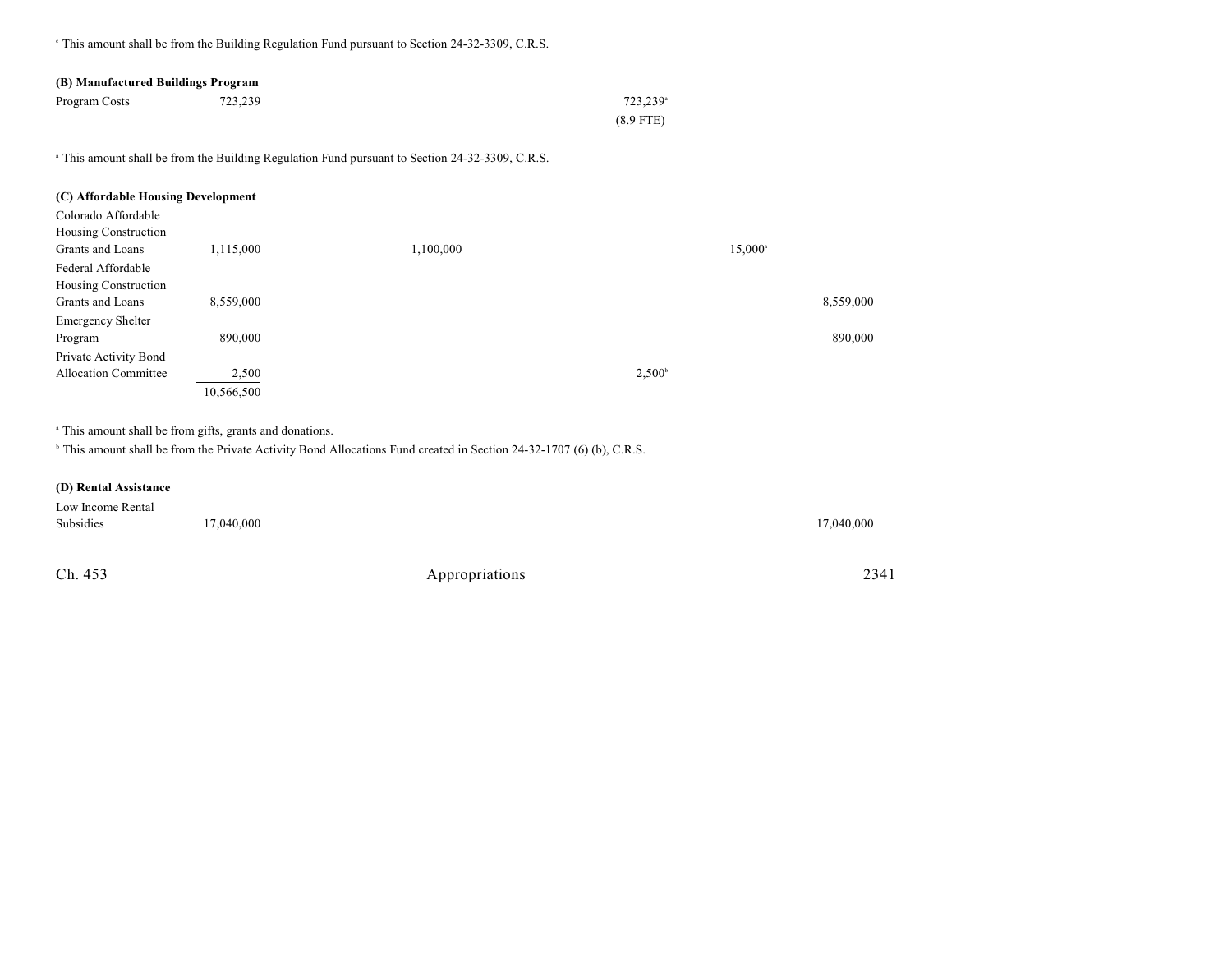<sup>e</sup> This amount shall be from the Building Regulation Fund pursuant to Section 24-32-3309, C.R.S.

| (B) Manufactured Buildings Program |         |                      |  |  |
|------------------------------------|---------|----------------------|--|--|
| Program Costs                      | 723.239 | 723.239 <sup>a</sup> |  |  |
|                                    |         | $(8.9$ FTE)          |  |  |

<sup>a</sup> This amount shall be from the Building Regulation Fund pursuant to Section 24-32-3309, C.R.S.

| (C) Affordable Housing Development |            |           |                  |
|------------------------------------|------------|-----------|------------------|
| Colorado Affordable                |            |           |                  |
| Housing Construction               |            |           |                  |
| Grants and Loans                   | 1,115,000  | 1,100,000 | $15,000^{\circ}$ |
| Federal Affordable                 |            |           |                  |
| Housing Construction               |            |           |                  |
| Grants and Loans                   | 8,559,000  |           | 8,559,000        |
| <b>Emergency Shelter</b>           |            |           |                  |
| Program                            | 890,000    |           | 890,000          |
| Private Activity Bond              |            |           |                  |
| <b>Allocation Committee</b>        | 2,500      |           | $2,500^{\circ}$  |
|                                    | 10,566,500 |           |                  |

<sup>a</sup> This amount shall be from gifts, grants and donations.

<sup>b</sup> This amount shall be from the Private Activity Bond Allocations Fund created in Section 24-32-1707 (6) (b), C.R.S.

### **(D) Rental Assistance**

| Low Income Rental |            |            |
|-------------------|------------|------------|
| Subsidies         | 17,040,000 | 17,040,000 |
|                   |            |            |
|                   |            |            |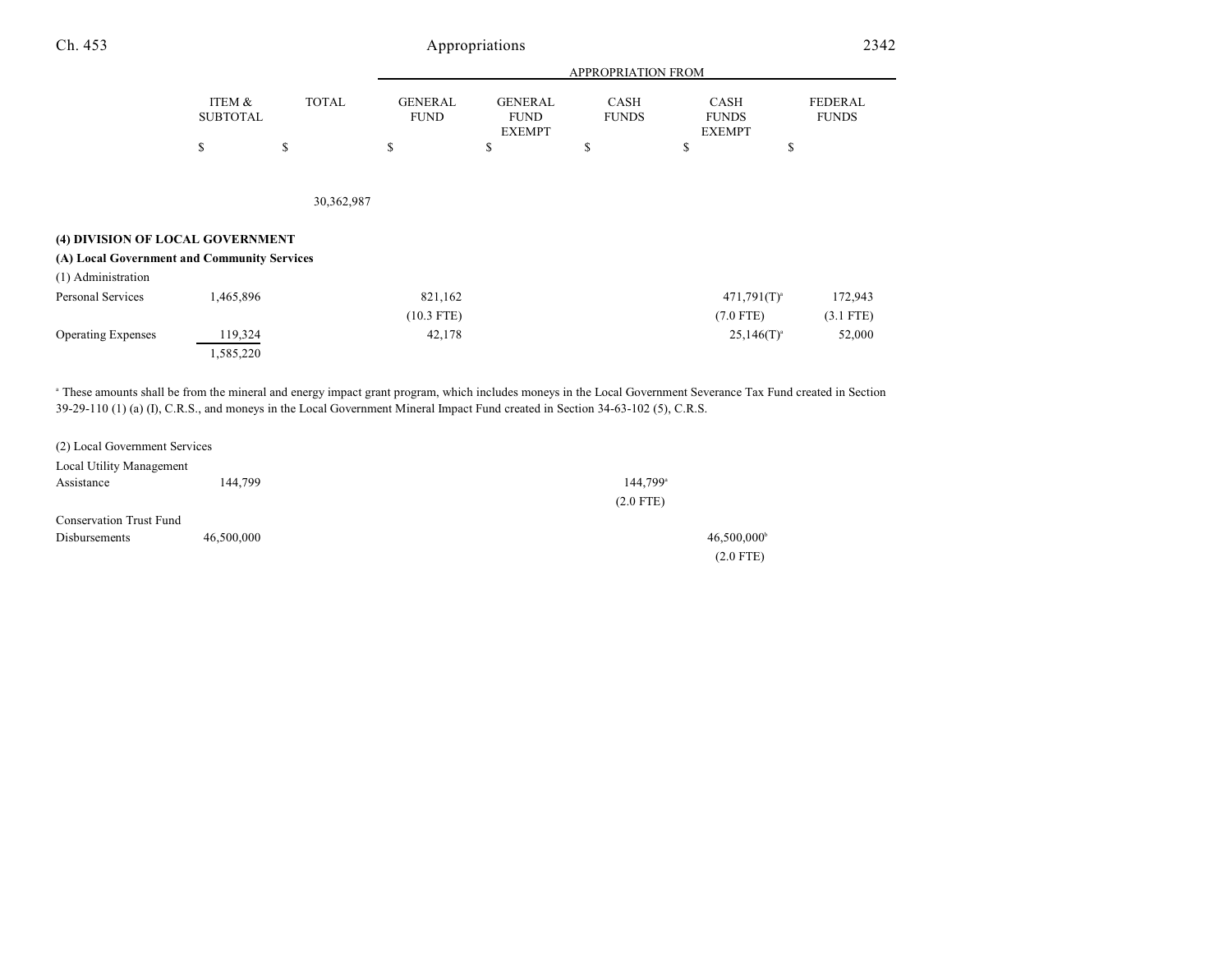| Ch. 453                                     |                           | Appropriations |                               |                                                |                             |                                              |                         |
|---------------------------------------------|---------------------------|----------------|-------------------------------|------------------------------------------------|-----------------------------|----------------------------------------------|-------------------------|
|                                             |                           |                | <b>APPROPRIATION FROM</b>     |                                                |                             |                                              |                         |
|                                             | ITEM &<br><b>SUBTOTAL</b> | <b>TOTAL</b>   | <b>GENERAL</b><br><b>FUND</b> | <b>GENERAL</b><br><b>FUND</b><br><b>EXEMPT</b> | <b>CASH</b><br><b>FUNDS</b> | <b>CASH</b><br><b>FUNDS</b><br><b>EXEMPT</b> | FEDERAL<br><b>FUNDS</b> |
|                                             | \$                        | \$             | \$                            | \$                                             | \$                          | \$                                           | \$                      |
|                                             |                           | 30,362,987     |                               |                                                |                             |                                              |                         |
| (4) DIVISION OF LOCAL GOVERNMENT            |                           |                |                               |                                                |                             |                                              |                         |
| (A) Local Government and Community Services |                           |                |                               |                                                |                             |                                              |                         |
| (1) Administration                          |                           |                |                               |                                                |                             |                                              |                         |
| Personal Services                           | 1,465,896                 |                | 821,162                       |                                                |                             | $471,791(T)^{a}$                             | 172,943                 |
|                                             |                           |                | $(10.3$ FTE)                  |                                                |                             | $(7.0$ FTE)                                  | $(3.1$ FTE)             |
| <b>Operating Expenses</b>                   | 119,324                   |                | 42,178                        |                                                |                             | $25,146(T)^{a}$                              | 52,000                  |

 These amounts shall be from the mineral and energy impact grant program, which includes moneys in the Local Government Severance Tax Fund created in Section <sup>a</sup> 39-29-110 (1) (a) (I), C.R.S., and moneys in the Local Government Mineral Impact Fund created in Section 34-63-102 (5), C.R.S.

| (2) Local Government Services  |            |                           |
|--------------------------------|------------|---------------------------|
| Local Utility Management       |            |                           |
| Assistance                     | 144,799    | 144,799 <sup>a</sup>      |
|                                |            | $(2.0$ FTE)               |
| <b>Conservation Trust Fund</b> |            |                           |
| <b>Disbursements</b>           | 46,500,000 | $46,500,000$ <sup>b</sup> |
|                                |            | $(2.0$ FTE)               |

1,585,220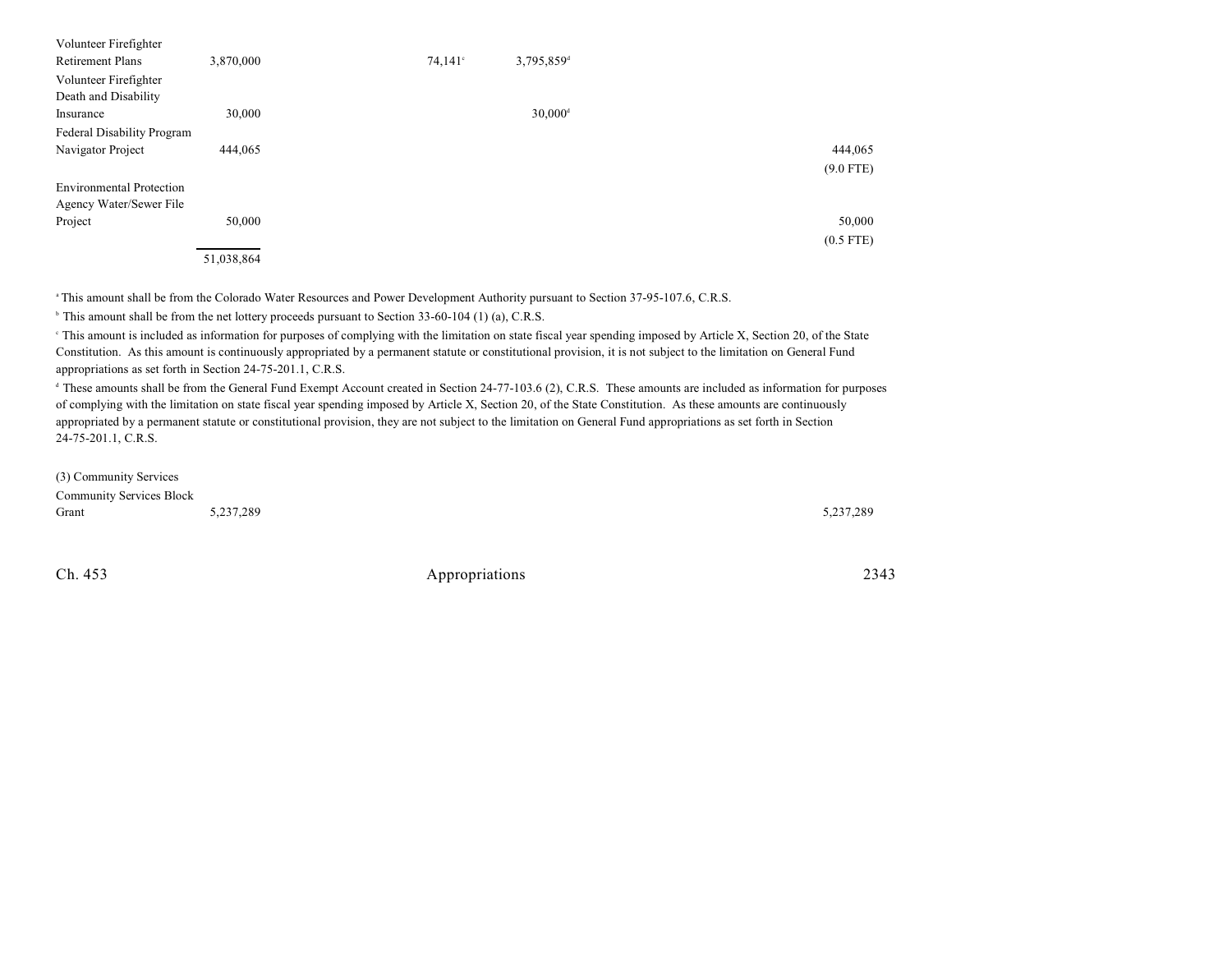| Volunteer Firefighter<br><b>Retirement Plans</b> | 3,870,000  | $74,141^{\circ}$ | 3,795,859 <sup>d</sup> |             |
|--------------------------------------------------|------------|------------------|------------------------|-------------|
| Volunteer Firefighter                            |            |                  |                        |             |
| Death and Disability                             |            |                  |                        |             |
| Insurance                                        | 30,000     |                  | $30,000$ <sup>d</sup>  |             |
| Federal Disability Program                       |            |                  |                        |             |
| Navigator Project                                | 444,065    |                  |                        | 444,065     |
|                                                  |            |                  |                        | $(9.0$ FTE) |
| <b>Environmental Protection</b>                  |            |                  |                        |             |
| Agency Water/Sewer File                          |            |                  |                        |             |
| Project                                          | 50,000     |                  |                        | 50,000      |
|                                                  |            |                  |                        | $(0.5$ FTE) |
|                                                  | 51,038,864 |                  |                        |             |

<sup>a</sup> This amount shall be from the Colorado Water Resources and Power Development Authority pursuant to Section 37-95-107.6, C.R.S.

<sup>b</sup> This amount shall be from the net lottery proceeds pursuant to Section 33-60-104 (1) (a), C.R.S.

<sup>e</sup> This amount is included as information for purposes of complying with the limitation on state fiscal year spending imposed by Article X, Section 20, of the State Constitution. As this amount is continuously appropriated by a permanent statute or constitutional provision, it is not subject to the limitation on General Fund appropriations as set forth in Section 24-75-201.1, C.R.S.

<sup>d</sup> These amounts shall be from the General Fund Exempt Account created in Section 24-77-103.6 (2), C.R.S. These amounts are included as information for purposes of complying with the limitation on state fiscal year spending imposed by Article X, Section 20, of the State Constitution. As these amounts are continuously appropriated by a permanent statute or constitutional provision, they are not subject to the limitation on General Fund appropriations as set forth in Section 24-75-201.1, C.R.S.

(3) Community Services Community Services Block Grant 5,237,289 5,237,289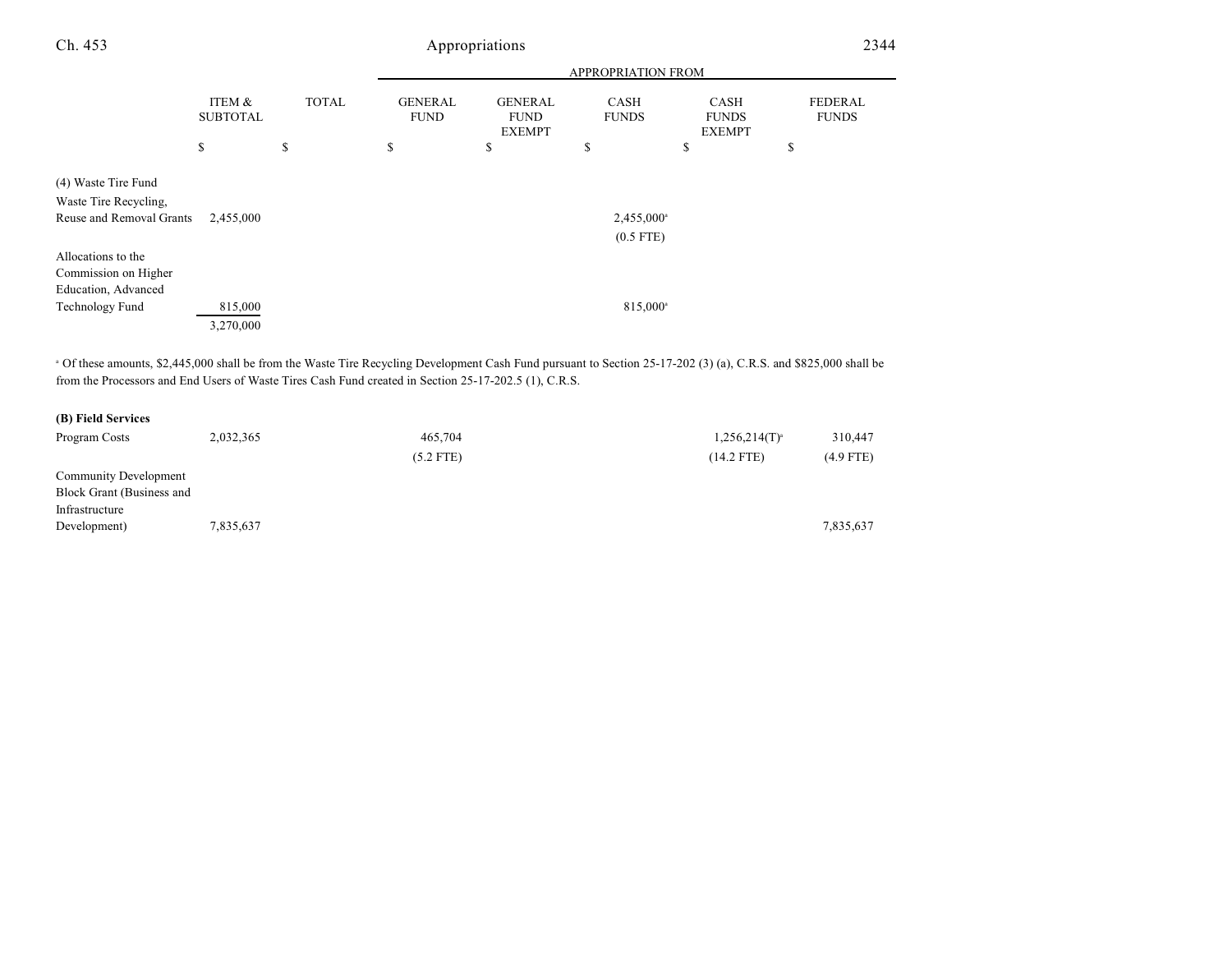| Ch. 453 |          | Appropriations |                |                           |       |       |          |
|---------|----------|----------------|----------------|---------------------------|-------|-------|----------|
|         |          |                |                | <b>APPROPRIATION FROM</b> |       |       |          |
|         | TEM $\&$ | <b>TOTAL</b>   | <b>GENERAL</b> | <b>GENER AL</b>           | ≃a sh | `A SH | FFDFR AI |

|                                              | ITEM &<br><b>SUBTOTAL</b> | <b>TOTAL</b> | <b>GENERAL</b><br><b>FUND</b> | <b>GENERAL</b><br><b>FUND</b><br><b>EXEMPT</b> | <b>CASH</b><br><b>FUNDS</b>           | <b>CASH</b><br><b>FUNDS</b><br><b>EXEMPT</b> | <b>FEDERAL</b><br><b>FUNDS</b> |
|----------------------------------------------|---------------------------|--------------|-------------------------------|------------------------------------------------|---------------------------------------|----------------------------------------------|--------------------------------|
|                                              | \$                        | \$           | \$                            | \$                                             | \$                                    | \$                                           | \$                             |
| (4) Waste Tire Fund<br>Waste Tire Recycling, |                           |              |                               |                                                |                                       |                                              |                                |
| Reuse and Removal Grants                     | 2,455,000                 |              |                               |                                                | 2,455,000 <sup>a</sup><br>$(0.5$ FTE) |                                              |                                |
| Allocations to the                           |                           |              |                               |                                                |                                       |                                              |                                |
| Commission on Higher                         |                           |              |                               |                                                |                                       |                                              |                                |
| Education, Advanced                          |                           |              |                               |                                                |                                       |                                              |                                |
| Technology Fund                              | 815,000                   |              |                               |                                                | 815,000 <sup>a</sup>                  |                                              |                                |
|                                              | 3,270,000                 |              |                               |                                                |                                       |                                              |                                |

<sup>a</sup> Of these amounts, \$2,445,000 shall be from the Waste Tire Recycling Development Cash Fund pursuant to Section 25-17-202 (3) (a), C.R.S. and \$825,000 shall be from the Processors and End Users of Waste Tires Cash Fund created in Section 25-17-202.5 (1), C.R.S.

| (B) Field Services |  |
|--------------------|--|
|--------------------|--|

| Program Costs             | 2,032,365 | 465,704     | $1,256,214(T)^{3}$ | 310,447     |
|---------------------------|-----------|-------------|--------------------|-------------|
|                           |           | $(5.2$ FTE) | $(14.2$ FTE)       | $(4.9$ FTE) |
| Community Development     |           |             |                    |             |
| Block Grant (Business and |           |             |                    |             |
| Infrastructure            |           |             |                    |             |
| Development)              | 7,835,637 |             |                    | 7,835,637   |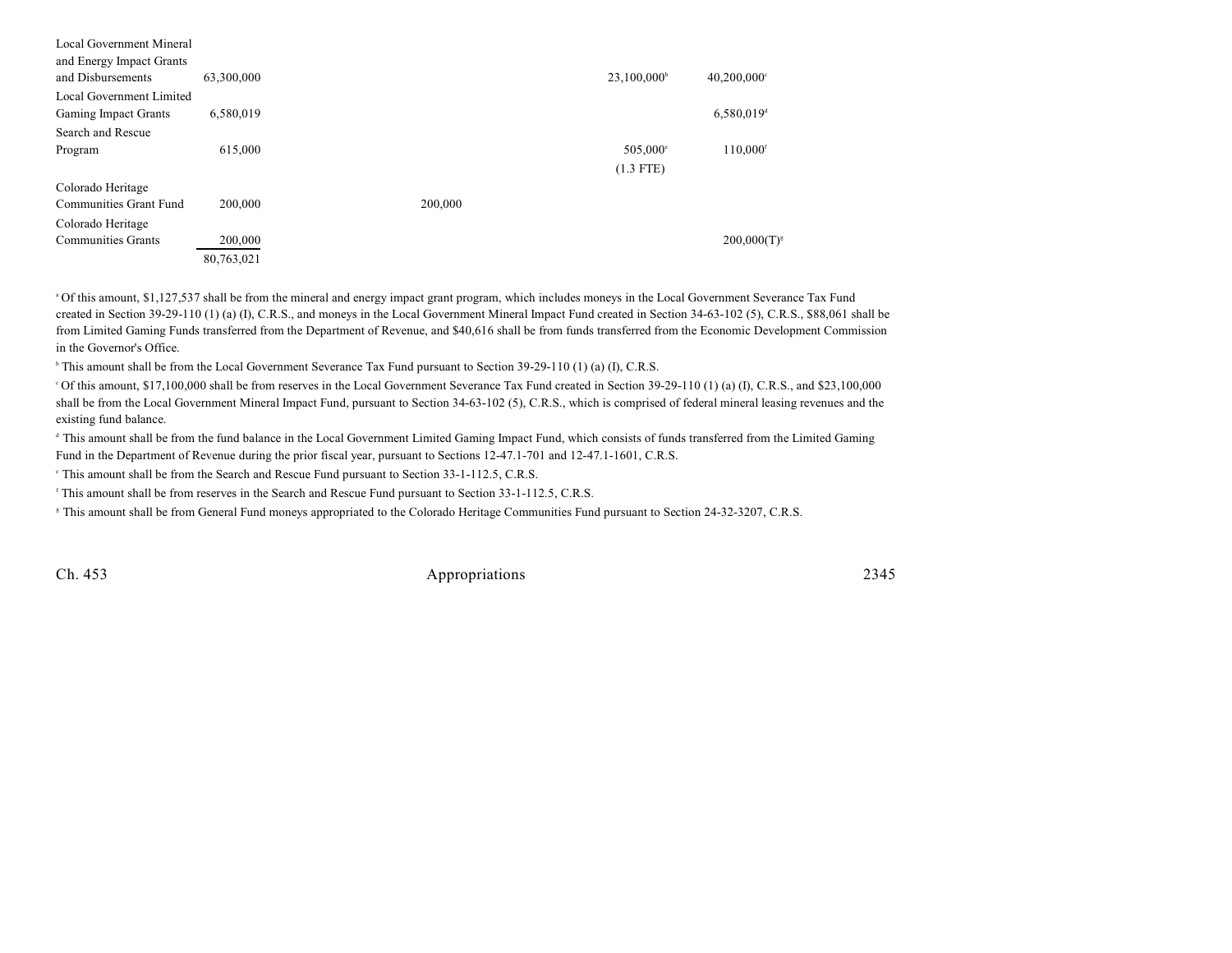| Local Government Mineral<br>and Energy Impact Grants<br>and Disbursements | 63,300,000 |         | 23,100,000 <sup>b</sup> | $40,200,000$ °           |
|---------------------------------------------------------------------------|------------|---------|-------------------------|--------------------------|
| Local Government Limited                                                  |            |         |                         |                          |
| Gaming Impact Grants                                                      | 6,580,019  |         |                         | $6,580,019$ <sup>d</sup> |
| Search and Rescue                                                         |            |         |                         |                          |
| Program                                                                   | 615,000    |         | 505,000°                | 110,000 <sup>f</sup>     |
|                                                                           |            |         | $(1.3$ FTE)             |                          |
| Colorado Heritage                                                         |            |         |                         |                          |
| Communities Grant Fund                                                    | 200,000    | 200,000 |                         |                          |
| Colorado Heritage                                                         |            |         |                         |                          |
| <b>Communities Grants</b>                                                 | 200,000    |         |                         | $200,000(T)^{s}$         |
|                                                                           | 80,763,021 |         |                         |                          |

Of this amount, \$1,127,537 shall be from the mineral and energy impact grant program, which includes moneys in the Local Government Severance Tax Fund <sup>a</sup> created in Section 39-29-110 (1) (a) (I), C.R.S., and moneys in the Local Government Mineral Impact Fund created in Section 34-63-102 (5), C.R.S., \$88,061 shall be from Limited Gaming Funds transferred from the Department of Revenue, and \$40,616 shall be from funds transferred from the Economic Development Commission in the Governor's Office.

<sup>b</sup> This amount shall be from the Local Government Severance Tax Fund pursuant to Section 39-29-110 (1) (a) (I), C.R.S.

Of this amount, \$17,100,000 shall be from reserves in the Local Government Severance Tax Fund created in Section 39-29-110 (1) (a) (I), C.R.S., and \$23,100,000 <sup>c</sup> shall be from the Local Government Mineral Impact Fund, pursuant to Section 34-63-102 (5), C.R.S., which is comprised of federal mineral leasing revenues and the existing fund balance.

<sup>d</sup> This amount shall be from the fund balance in the Local Government Limited Gaming Impact Fund, which consists of funds transferred from the Limited Gaming Fund in the Department of Revenue during the prior fiscal year, pursuant to Sections 12-47.1-701 and 12-47.1-1601, C.R.S.

<sup>e</sup> This amount shall be from the Search and Rescue Fund pursuant to Section 33-1-112.5, C.R.S.

<sup>f</sup> This amount shall be from reserves in the Search and Rescue Fund pursuant to Section 33-1-112.5, C.R.S.

<sup>8</sup> This amount shall be from General Fund moneys appropriated to the Colorado Heritage Communities Fund pursuant to Section 24-32-3207, C.R.S.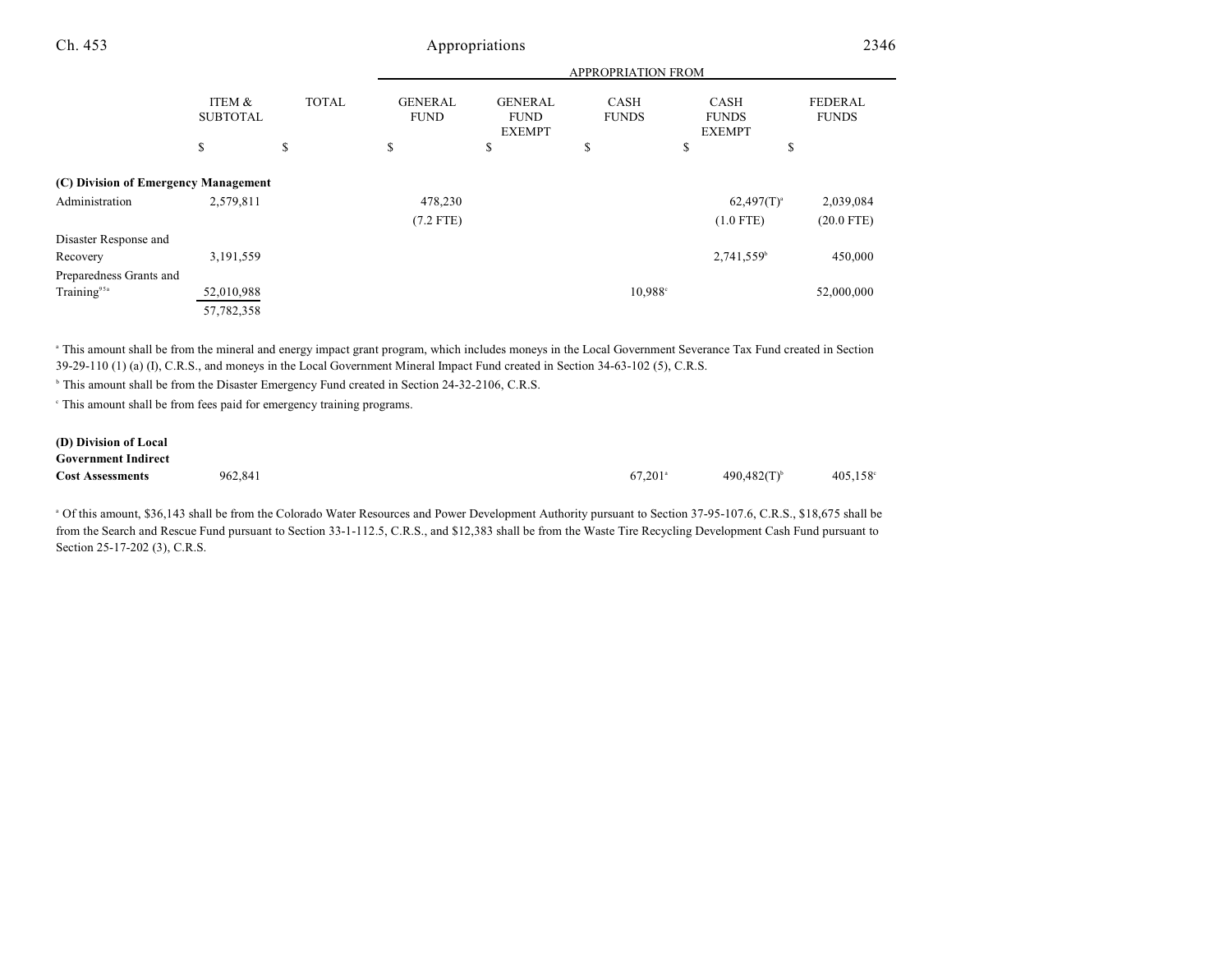|                                                        |                           |              | <b>APPROPRIATION FROM</b>     |                                                |                             |                                              |                                |  |
|--------------------------------------------------------|---------------------------|--------------|-------------------------------|------------------------------------------------|-----------------------------|----------------------------------------------|--------------------------------|--|
|                                                        | ITEM &<br><b>SUBTOTAL</b> | <b>TOTAL</b> | <b>GENERAL</b><br><b>FUND</b> | <b>GENERAL</b><br><b>FUND</b><br><b>EXEMPT</b> | <b>CASH</b><br><b>FUNDS</b> | <b>CASH</b><br><b>FUNDS</b><br><b>EXEMPT</b> | <b>FEDERAL</b><br><b>FUNDS</b> |  |
|                                                        | \$                        | \$           | \$                            | \$                                             | \$                          | \$<br>¢<br>D                                 |                                |  |
| (C) Division of Emergency Management<br>Administration | 2,579,811                 |              | 478,230<br>$(7.2$ FTE)        |                                                |                             | $62,497(T)^{a}$<br>$(1.0$ FTE)               | 2,039,084<br>$(20.0$ FTE)      |  |
| Disaster Response and<br>Recovery                      | 3,191,559                 |              |                               |                                                |                             | 2,741,559 <sup>b</sup>                       | 450,000                        |  |
| Preparedness Grants and                                |                           |              |                               |                                                |                             |                                              |                                |  |
| Training <sup>95a</sup>                                | 52,010,988                |              |                               |                                                | 10.988 <sup>c</sup>         |                                              | 52,000,000                     |  |
|                                                        | 57,782,358                |              |                               |                                                |                             |                                              |                                |  |

 This amount shall be from the mineral and energy impact grant program, which includes moneys in the Local Government Severance Tax Fund created in Section <sup>a</sup> 39-29-110 (1) (a) (I), C.R.S., and moneys in the Local Government Mineral Impact Fund created in Section 34-63-102 (5), C.R.S.

<sup>b</sup> This amount shall be from the Disaster Emergency Fund created in Section 24-32-2106, C.R.S.

This amount shall be from fees paid for emergency training programs. <sup>c</sup>

#### **(D) Division of Local Government Indirect Cost Assessments** 962,841 990,482(T) 405,158 and 490,482(T) 405,158 and 490,482(T) 405,158 and 490,482(T) 405,158 and 490,482(T) 405,158 and 490,482(T) 405,158 and 490,482(T) 405,158 and 490,482(T) 405,158 and 490,482(T)

<sup>a</sup> Of this amount, \$36,143 shall be from the Colorado Water Resources and Power Development Authority pursuant to Section 37-95-107.6, C.R.S., \$18,675 shall be from the Search and Rescue Fund pursuant to Section 33-1-112.5, C.R.S., and \$12,383 shall be from the Waste Tire Recycling Development Cash Fund pursuant to

Section 25-17-202 (3), C.R.S.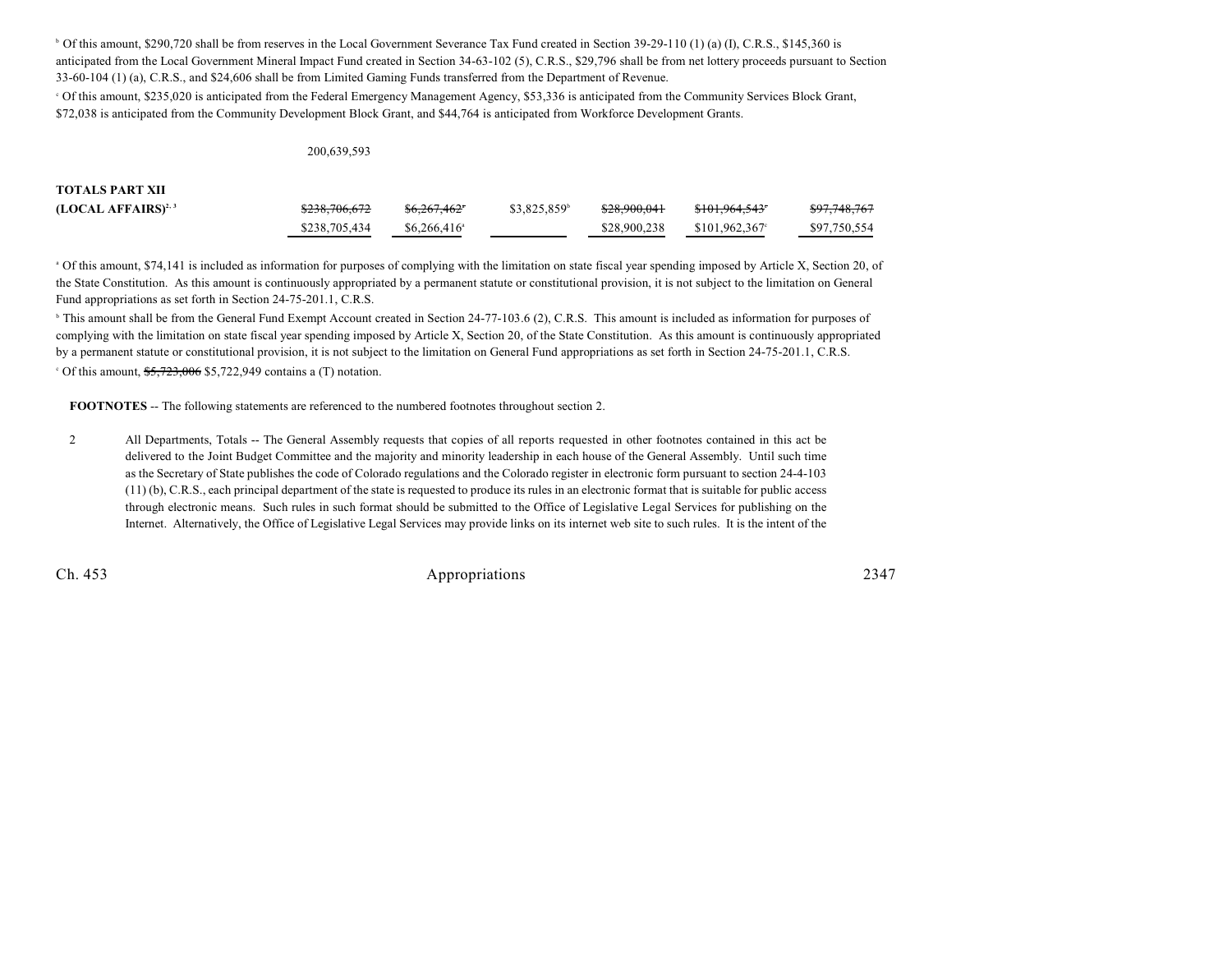Of this amount, \$290,720 shall be from reserves in the Local Government Severance Tax Fund created in Section 39-29-110 (1) (a) (I), C.R.S., \$145,360 is <sup>b</sup> anticipated from the Local Government Mineral Impact Fund created in Section 34-63-102 (5), C.R.S., \$29,796 shall be from net lottery proceeds pursuant to Section 33-60-104 (1) (a), C.R.S., and \$24,606 shall be from Limited Gaming Funds transferred from the Department of Revenue.

Of this amount, \$235,020 is anticipated from the Federal Emergency Management Agency, \$53,336 is anticipated from the Community Services Block Grant, \$72,038 is anticipated from the Community Development Block Grant, and \$44,764 is anticipated from Workforce Development Grants.

#### 200,639,593

| <b>TOTALS PART XII</b>  |               |                          |             |              |                             |              |
|-------------------------|---------------|--------------------------|-------------|--------------|-----------------------------|--------------|
| $(LOCAL AFFAIRS)^{2,3}$ | \$238,706,672 | <del>\$6,267,462</del> * | \$3,825,859 | \$28,900,041 | \$101,964,543               | \$97,748,767 |
|                         | \$238,705,434 | $$6.266.416^{\circ}$$    |             | \$28,900,238 | $$101.962.367$ <sup>c</sup> | \$97,750,554 |

<sup>a</sup> Of this amount, \$74,141 is included as information for purposes of complying with the limitation on state fiscal year spending imposed by Article X, Section 20, of the State Constitution. As this amount is continuously appropriated by a permanent statute or constitutional provision, it is not subject to the limitation on General Fund appropriations as set forth in Section 24-75-201.1, C.R.S.

<sup>b</sup> This amount shall be from the General Fund Exempt Account created in Section 24-77-103.6 (2), C.R.S. This amount is included as information for purposes of complying with the limitation on state fiscal year spending imposed by Article X, Section 20, of the State Constitution. As this amount is continuously appropriated by a permanent statute or constitutional provision, it is not subject to the limitation on General Fund appropriations as set forth in Section 24-75-201.1, C.R.S.

<sup>c</sup> Of this amount,  $\frac{$5,723,006}{5,722,949}$  contains a (T) notation.

**FOOTNOTES** -- The following statements are referenced to the numbered footnotes throughout section 2.

2 All Departments, Totals -- The General Assembly requests that copies of all reports requested in other footnotes contained in this act be delivered to the Joint Budget Committee and the majority and minority leadership in each house of the General Assembly. Until such time as the Secretary of State publishes the code of Colorado regulations and the Colorado register in electronic form pursuant to section 24-4-103 (11) (b), C.R.S., each principal department of the state is requested to produce its rules in an electronic format that is suitable for public access through electronic means. Such rules in such format should be submitted to the Office of Legislative Legal Services for publishing on the Internet. Alternatively, the Office of Legislative Legal Services may provide links on its internet web site to such rules. It is the intent of the